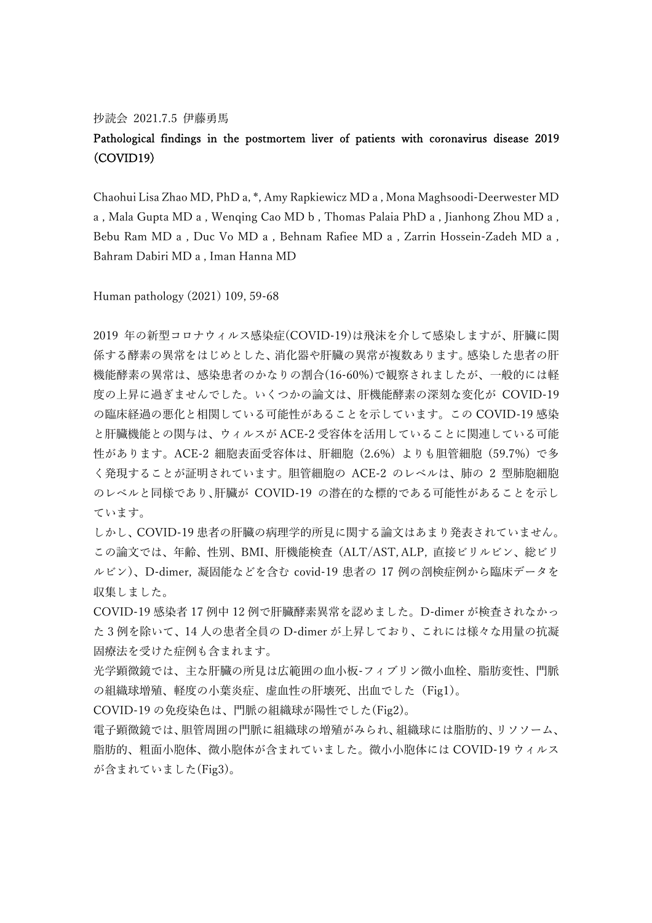## 抄読会 2021.7.5 伊藤勇馬

## Pathological findings in the postmortem liver of patients with coronavirus disease 2019 (COVID19)

Chaohui Lisa Zhao MD, PhD a, \*, Amy Rapkiewicz MD a , Mona Maghsoodi-Deerwester MD a , Mala Gupta MD a , Wenqing Cao MD b , Thomas Palaia PhD a , Jianhong Zhou MD a , Bebu Ram MD a , Duc Vo MD a , Behnam Rafiee MD a , Zarrin Hossein-Zadeh MD a , Bahram Dabiri MD a , Iman Hanna MD

Human pathology (2021) 109, 59-68

2019 年の新型コロナウィルス感染症(COVID-19)は飛沫を介して感染しますが、肝臓に関 係する酵素の異常をはじめとした、消化器や肝臓の異常が複数あります。感染した患者の肝 機能酵素の異常は、感染患者のかなりの割合(16-60%)で観察されましたが、一般的には軽 度の上昇に過ぎませんでした。いくつかの論文は、肝機能酵素の深刻な変化が COVID-19 の臨床経過の悪化と相関している可能性があることを示しています。この COVID-19 感染 と肝臓機能との関与は、ウィルスが ACE-2 受容体を活用していることに関連している可能 性があります。ACE-2 細胞表面受容体は、肝細胞 (2.6%) よりも胆管細胞 (59.7%) で多 く発現することが証明されています。胆管細胞の ACE-2 のレベルは、肺の 2 型肺胞細胞 のレベルと同様であり、肝臓が COVID-19 の潜在的な標的である可能性があることを示し ています。

しかし、COVID-19 患者の肝臓の病理学的所見に関する論文はあまり発表されていません。 この論文では、年齢、性別、BMI、肝機能検査(ALT/AST, ALP, 直接ビリルビン、総ビリ ルビン)、D-dimer, 凝固能などを含む covid-19 患者の 17 例の剖検症例から臨床データを 収集しました。

COVID-19 感染者 17 例中 12 例で肝臓酵素異常を認めました。D-dimer が検査されなかっ た 3 例を除いて、14 人の患者全員の D-dimer が上昇しており、これには様々な用量の抗凝 固療法を受けた症例も含まれます。

光学顕微鏡では、主な肝臓の所見は広範囲の血小板-フィブリン微小血栓、脂肪変性、門脈 の組織球増殖、軽度の小葉炎症、虚血性の肝壊死、出血でした(Fig1)。

COVID-19 の免疫染色は、門脈の組織球が陽性でした(Fig2)。

電子顕微鏡では、胆管周囲の門脈に組織球の増殖がみられ、組織球には脂肪的、リソソーム、 脂肪的、粗面小胞体、微小胞体が含まれていました。微小小胞体には COVID-19 ウィルス が含まれていました(Fig3)。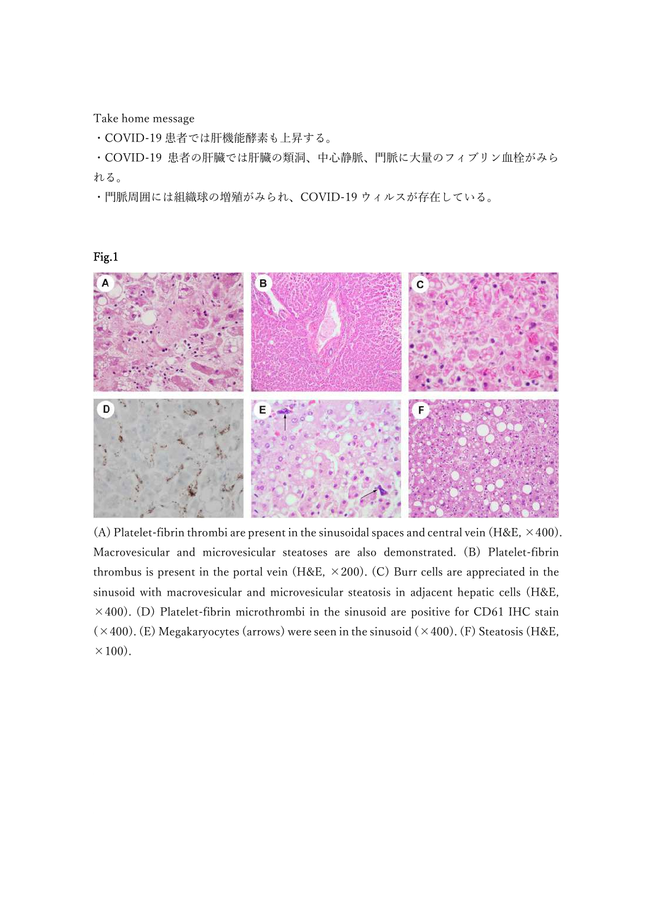Take home message

・COVID-19 患者では肝機能酵素も上昇する。

・COVID-19 患者の肝臓では肝臓の類洞、中心静脈、門脈に大量のフィブリン血栓がみら れる。

・門脈周囲には組織球の増殖がみられ、COVID-19 ウィルスが存在している。

B C D

(A) Platelet-fibrin thrombi are present in the sinusoidal spaces and central vein (H&E,  $\times$  400). Macrovesicular and microvesicular steatoses are also demonstrated. (B) Platelet-fibrin thrombus is present in the portal vein (H&E,  $\times$  200). (C) Burr cells are appreciated in the sinusoid with macrovesicular and microvesicular steatosis in adjacent hepatic cells (H&E,  $\times$ 400). (D) Platelet-fibrin microthrombi in the sinusoid are positive for CD61 IHC stain  $(\times 400)$ . (E) Megakaryocytes (arrows) were seen in the sinusoid  $(\times 400)$ . (F) Steatosis (H&E,  $\times$ 100).

## Fig.1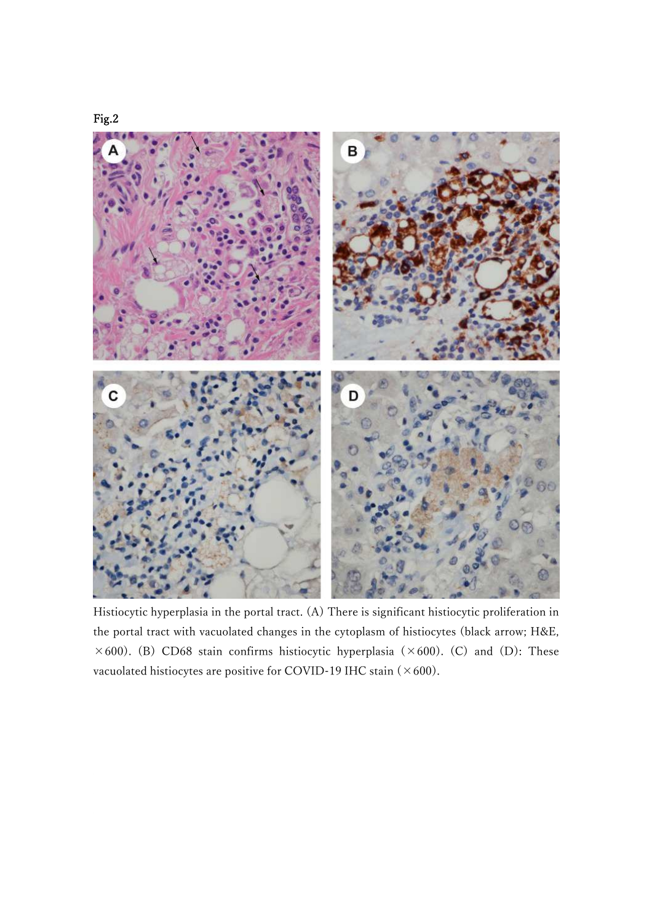



Histiocytic hyperplasia in the portal tract. (A) There is significant histiocytic proliferation in the portal tract with vacuolated changes in the cytoplasm of histiocytes (black arrow; H&E,  $\times$  600). (B) CD68 stain confirms histiocytic hyperplasia ( $\times$  600). (C) and (D): These vacuolated histiocytes are positive for COVID-19 IHC stain  $(\times 600)$ .